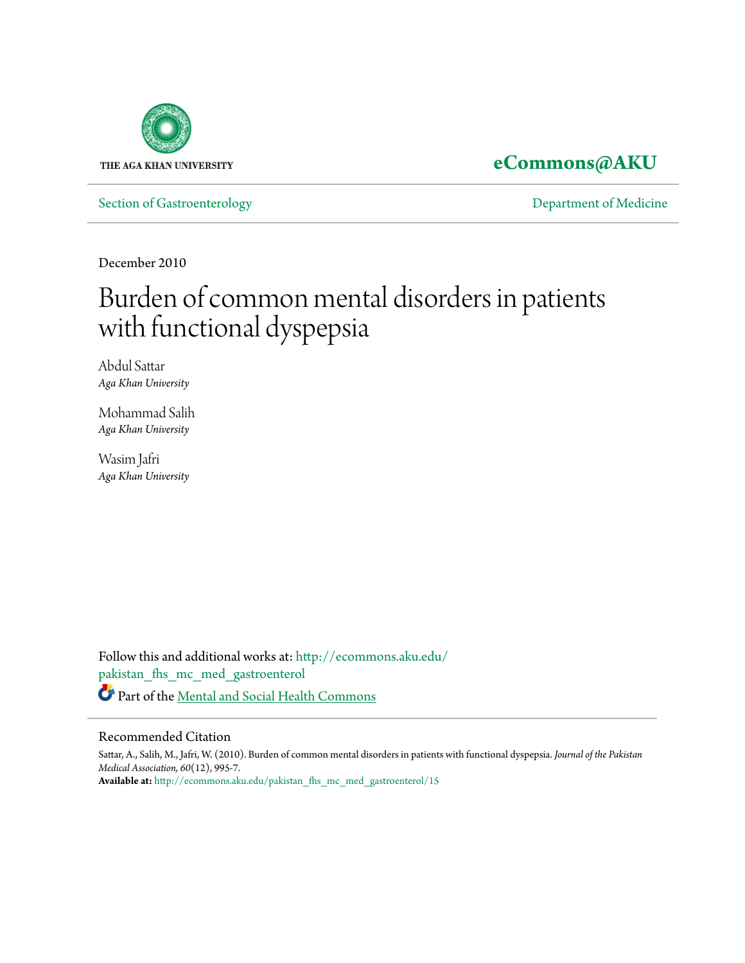

**[eCommons@AKU](http://ecommons.aku.edu?utm_source=ecommons.aku.edu%2Fpakistan_fhs_mc_med_gastroenterol%2F15&utm_medium=PDF&utm_campaign=PDFCoverPages)**

[Section of Gastroenterology](http://ecommons.aku.edu/pakistan_fhs_mc_med_gastroenterol?utm_source=ecommons.aku.edu%2Fpakistan_fhs_mc_med_gastroenterol%2F15&utm_medium=PDF&utm_campaign=PDFCoverPages) **[Department of Medicine](http://ecommons.aku.edu/pakistan_fhs_mc_med?utm_source=ecommons.aku.edu%2Fpakistan_fhs_mc_med_gastroenterol%2F15&utm_medium=PDF&utm_campaign=PDFCoverPages)** 

December 2010

# Burden of common mental disorders in patients with functional dyspepsia

Abdul Sattar *Aga Khan University*

Mohammad Salih *Aga Khan University*

Wasim Jafri *Aga Khan University*

Follow this and additional works at: [http://ecommons.aku.edu/](http://ecommons.aku.edu/pakistan_fhs_mc_med_gastroenterol?utm_source=ecommons.aku.edu%2Fpakistan_fhs_mc_med_gastroenterol%2F15&utm_medium=PDF&utm_campaign=PDFCoverPages) [pakistan\\_fhs\\_mc\\_med\\_gastroenterol](http://ecommons.aku.edu/pakistan_fhs_mc_med_gastroenterol?utm_source=ecommons.aku.edu%2Fpakistan_fhs_mc_med_gastroenterol%2F15&utm_medium=PDF&utm_campaign=PDFCoverPages) Part of the [Mental and Social Health Commons](http://network.bepress.com/hgg/discipline/709?utm_source=ecommons.aku.edu%2Fpakistan_fhs_mc_med_gastroenterol%2F15&utm_medium=PDF&utm_campaign=PDFCoverPages)

## Recommended Citation

Sattar, A., Salih, M., Jafri, W. (2010). Burden of common mental disorders in patients with functional dyspepsia. *Journal of the Pakistan Medical Association, 60*(12), 995-7. **Available at:** [http://ecommons.aku.edu/pakistan\\_fhs\\_mc\\_med\\_gastroenterol/15](http://ecommons.aku.edu/pakistan_fhs_mc_med_gastroenterol/15)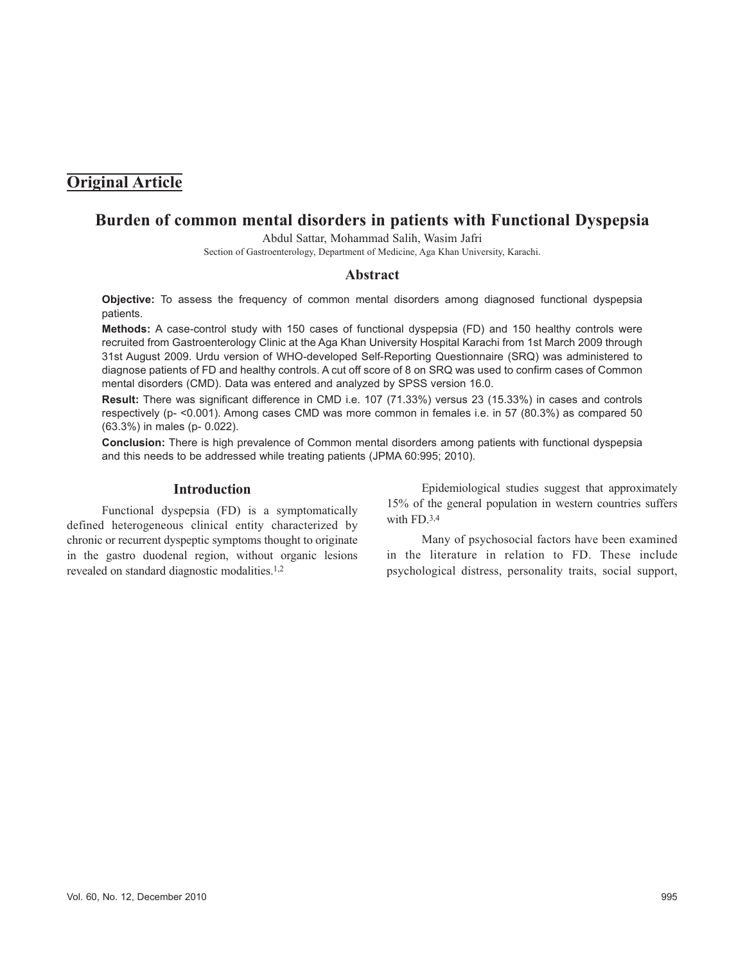# **Original Article**

# **Burden of common mental disorders in patients with Functional Dyspepsia**

Abdul Sattar, Mohammad Salih, Wasim Jafri

Section of Gastroenterology, Department of Medicine, Aga Khan University, Karachi.

#### **Abstract**

**Objective:** To assess the frequency of common mental disorders among diagnosed functional dyspepsia patients.

**Methods:** A case-control study with 150 cases of functional dyspepsia (FD) and 150 healthy controls were recruited from Gastroenterology Clinic at the Aga Khan University Hospital Karachi from 1st March 2009 through 31st August 2009. Urdu version of WHO-developed Self-Reporting Questionnaire (SRQ) was administered to diagnose patients of FD and healthy controls. A cut off score of 8 on SRQ was used to confirm cases of Common mental disorders (CMD). Data was entered and analyzed by SPSS version 16.0.

**Result:** There was significant difference in CMD i.e. 107 (71.33%) versus 23 (15.33%) in cases and controls respectively (p- <0.001). Among cases CMD was more common in females i.e. in 57 (80.3%) as compared 50 (63.3%) in males (p- 0.022).

**Conclusion:** There is high prevalence of Common mental disorders among patients with functional dyspepsia and this needs to be addressed while treating patients (JPMA 60:995; 2010).

#### **Introduction**

Functional dyspepsia (FD) is a symptomatically defined heterogeneous clinical entity characterized by chronic or recurrent dyspeptic symptoms thought to originate in the gastro duodenal region, without organic lesions revealed on standard diagnostic modalities.1,2

Epidemiological studies suggest that approximately 15% of the general population in western countries suffers with FD.3,4

Many of psychosocial factors have been examined in the literature in relation to FD. These include psychological distress, personality traits, social support,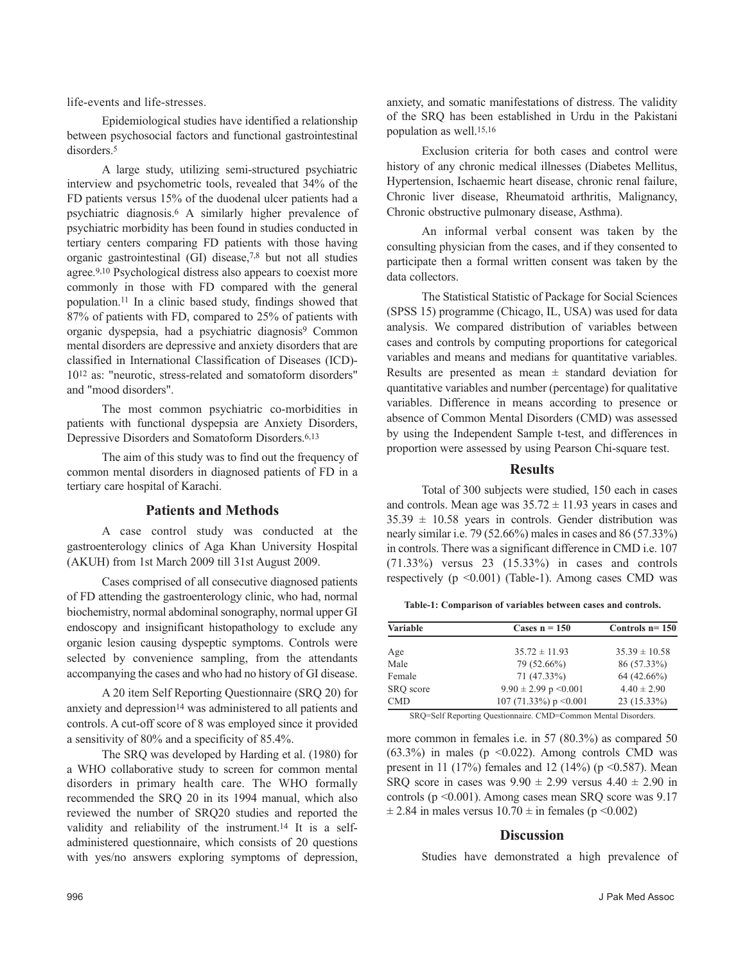life-events and life-stresses.

Epidemiological studies have identified a relationship between psychosocial factors and functional gastrointestinal disorders<sup>5</sup>

A large study, utilizing semi-structured psychiatric interview and psychometric tools, revealed that 34% of the FD patients versus 15% of the duodenal ulcer patients had a psychiatric diagnosis.<sup>6</sup> A similarly higher prevalence of psychiatric morbidity has been found in studies conducted in tertiary centers comparing FD patients with those having organic gastrointestinal (GI) disease,7,8 but not all studies agree.9,10 Psychological distress also appears to coexist more commonly in those with FD compared with the general population.<sup>11</sup> In a clinic based study, findings showed that 87% of patients with FD, compared to 25% of patients with organic dyspepsia, had a psychiatric diagnosis<sup>9</sup> Common mental disorders are depressive and anxiety disorders that are classified in International Classification of Diseases (ICD)- 10<sup>12</sup> as: "neurotic, stress-related and somatoform disorders" and "mood disorders".

The most common psychiatric co-morbidities in patients with functional dyspepsia are Anxiety Disorders, Depressive Disorders and Somatoform Disorders.6,13

The aim of this study was to find out the frequency of common mental disorders in diagnosed patients of FD in a tertiary care hospital of Karachi.

#### **Patients and Methods**

A case control study was conducted at the gastroenterology clinics of Aga Khan University Hospital (AKUH) from 1st March 2009 till 31st August 2009.

Cases comprised of all consecutive diagnosed patients of FD attending the gastroenterology clinic, who had, normal biochemistry, normal abdominal sonography, normal upper GI endoscopy and insignificant histopathology to exclude any organic lesion causing dyspeptic symptoms. Controls were selected by convenience sampling, from the attendants accompanying the cases and who had no history of GI disease.

A 20 item Self Reporting Questionnaire (SRQ 20) for anxiety and depression<sup>14</sup> was administered to all patients and controls. A cut-off score of 8 was employed since it provided a sensitivity of 80% and a specificity of 85.4%.

The SRQ was developed by Harding et al. (1980) for a WHO collaborative study to screen for common mental disorders in primary health care. The WHO formally recommended the SRQ 20 in its 1994 manual, which also reviewed the number of SRQ20 studies and reported the validity and reliability of the instrument.<sup>14</sup> It is a selfadministered questionnaire, which consists of 20 questions with yes/no answers exploring symptoms of depression, anxiety, and somatic manifestations of distress. The validity of the SRQ has been established in Urdu in the Pakistani population as well.15,16

Exclusion criteria for both cases and control were history of any chronic medical illnesses (Diabetes Mellitus, Hypertension, Ischaemic heart disease, chronic renal failure, Chronic liver disease, Rheumatoid arthritis, Malignancy, Chronic obstructive pulmonary disease, Asthma).

An informal verbal consent was taken by the consulting physician from the cases, and if they consented to participate then a formal written consent was taken by the data collectors.

The Statistical Statistic of Package for Social Sciences (SPSS 15) programme (Chicago, IL, USA) was used for data analysis. We compared distribution of variables between cases and controls by computing proportions for categorical variables and means and medians for quantitative variables. Results are presented as mean  $\pm$  standard deviation for quantitative variables and number (percentage) for qualitative variables. Difference in means according to presence or absence of Common Mental Disorders (CMD) was assessed by using the Independent Sample t-test, and differences in proportion were assessed by using Pearson Chi-square test.

#### **Results**

Total of 300 subjects were studied, 150 each in cases and controls. Mean age was  $35.72 \pm 11.93$  years in cases and  $35.39 \pm 10.58$  years in controls. Gender distribution was nearly similar i.e. 79 (52.66%) males in cases and 86 (57.33%) in controls. There was a significant difference in CMD i.e. 107 (71.33%) versus 23 (15.33%) in cases and controls respectively  $(p \le 0.001)$  (Table-1). Among cases CMD was

**Table-1: Comparison of variables between cases and controls.**

| Variable   | Cases $n = 150$            | Controls $n=150$  |
|------------|----------------------------|-------------------|
| Age        | $35.72 \pm 11.93$          | $35.39 \pm 10.58$ |
| Male       | 79 (52.66%)                | 86 (57.33%)       |
| Female     | 71 (47.33%)                | 64 (42.66%)       |
| SRO score  | $9.90 \pm 2.99$ p < 0.001  | $4.40 \pm 2.90$   |
| <b>CMD</b> | 107 (71.33%) $p \le 0.001$ | $23(15.33\%)$     |

SRQ=Self Reporting Questionnaire. CMD=Common Mental Disorders.

more common in females i.e. in 57 (80.3%) as compared 50  $(63.3\%)$  in males (p <0.022). Among controls CMD was present in 11 (17%) females and 12 (14%) ( $p \le 0.587$ ). Mean SRQ score in cases was  $9.90 \pm 2.99$  versus  $4.40 \pm 2.90$  in controls (p <0.001). Among cases mean SRQ score was 9.17  $\pm$  2.84 in males versus 10.70  $\pm$  in females (p < 0.002)

### **Discussion**

Studies have demonstrated a high prevalence of